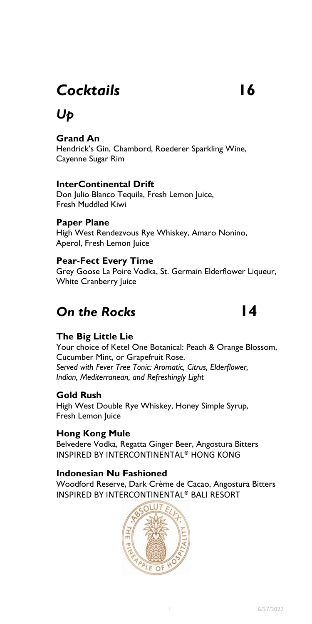## *Cocktails* **16**

## *Up*

#### **Grand An**

Hendrick's Gin, Chambord, Roederer Sparkling Wine, Cayenne Sugar Rim

#### **InterContinental Drift**

 Don Julio Blanco Tequila, Fresh Lemon Juice, Fresh Muddled Kiwi

#### **Paper Plane**

High West Rendezvous Rye Whiskey, Amaro Nonino, Aperol, Fresh Lemon Juice

#### **Pear-Fect Every Time**

Grey Goose La Poire Vodka, St. Germain Elderflower Liqueur, White Cranberry Juice

## **Dn the Rocks 14**

#### **The Big Little Lie**

 Cucumber Mint, or Grapefruit Rose. Your choice of Ketel One Botanical: Peach & Orange Blossom, *Served with Fever Tree Tonic: Aromatic, Citrus, Elderflower, Indian, Mediterranean, and Refreshingly Light* 

#### **Gold Rush**

High West Double Rye Whiskey, Honey Simple Syrup, Fresh Lemon Juice

#### **Hong Kong Mule**

Belvedere Vodka, Regatta Ginger Beer, Angostura Bitters INSPIRED BY INTERCONTINENTAL® HONG KONG

#### **Indonesian Nu Fashioned**

Woodford Reserve, Dark Crème de Cacao, Angostura Bitters INSPIRED BY INTERCONTINENTAL® BALI RESORT

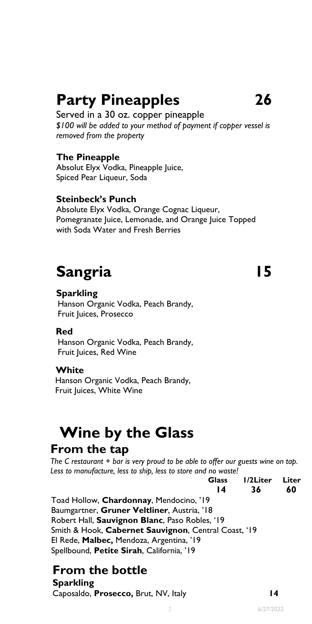## **Party Pineapples 26**

Served in a 30 oz. copper pineapple *\$100 will be added to your method of payment if copper vessel is removed from the property* 

#### **The Pineapple**

 Spiced Pear Liqueur, Soda Absolut Elyx Vodka, Pineapple Juice,

#### **Steinbeck's Punch**

Absolute Elyx Vodka, Orange Cognac Liqueur, Pomegranate Juice, Lemonade, and Orange Juice Topped with Soda Water and Fresh Berries

# **Sangria 15 Sangria 15 Sangria 15 Sangria 15 Sangria 15 Sangria 15 Sangria 15 Sangria 15 Sangria 15 Sangria 15**

Hanson Organic Vodka, Peach Brandy, Fruit Juices, Prosecco

#### **Red**

Hanson Organic Vodka, Peach Brandy, Fruit Juices, Red Wine

#### **White**

Hanson Organic Vodka, Peach Brandy, Fruit Juices, White Wine

# **Wine by the Glass From the tap**

#### **From the tap**

 *The C restaurant + bar is very proud to be able to offer our guests wine on tap. Less to manufacture, less to ship, less to store and no waste!* 

|                                                      | <b>Glass</b><br>14 | I/2Liter<br>36 | Liter<br>60 |
|------------------------------------------------------|--------------------|----------------|-------------|
|                                                      |                    |                |             |
| Toad Hollow, Chardonnay, Mendocino, '19              |                    |                |             |
| Baumgartner, Gruner Veltliner, Austria, '18          |                    |                |             |
| Robert Hall, Sauvignon Blanc, Paso Robles, '19       |                    |                |             |
| Smith & Hook, Cabernet Sauvignon, Central Coast, '19 |                    |                |             |
| El Rede, Malbec, Mendoza, Argentina, '19             |                    |                |             |
| Spellbound, Petite Sirah, California, '19            |                    |                |             |
|                                                      |                    |                |             |

## **From the bottle**

**Sparkling**  Caposaldo, **Prosecco,** Brut, NV, Italy **14**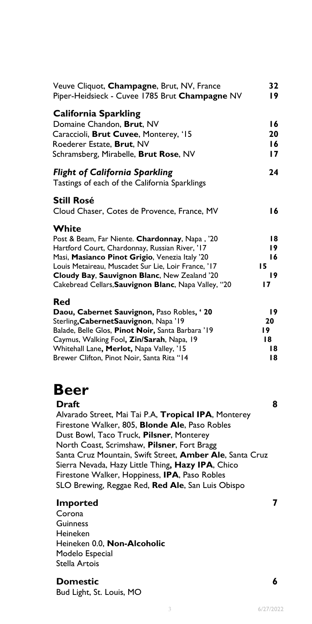| Veuve Cliquot, Champagne, Brut, NV, France<br>Piper-Heidsieck - Cuvee 1785 Brut Champagne NV                                                                                                                                                                                                                               | 32<br>19                          |
|----------------------------------------------------------------------------------------------------------------------------------------------------------------------------------------------------------------------------------------------------------------------------------------------------------------------------|-----------------------------------|
| <b>California Sparkling</b><br>Domaine Chandon, Brut, NV<br>Caraccioli, Brut Cuvee, Monterey, '15<br>Roederer Estate, Brut, NV<br>Schramsberg, Mirabelle, Brut Rose, NV                                                                                                                                                    | 16<br>20<br>16<br>17              |
| <b>Flight of California Sparkling</b><br>Tastings of each of the California Sparklings                                                                                                                                                                                                                                     | 24                                |
| <b>Still Rosé</b><br>Cloud Chaser, Cotes de Provence, France, MV                                                                                                                                                                                                                                                           | 16                                |
| White<br>Post & Beam, Far Niente. Chardonnay, Napa, '20<br>Hartford Court, Chardonnay, Russian River, '17<br>Masi, Masianco Pinot Grigio, Venezia Italy '20<br>Louis Metaireau, Muscadet Sur Lie, Loir France, '17<br>Cloudy Bay, Sauvignon Blanc, New Zealand '20<br>Cakebread Cellars, Sauvignon Blanc, Napa Valley, "20 | 18<br>19<br>16<br>15<br>19<br>17  |
| Red<br>Daou, Cabernet Sauvignon, Paso Robles, '20<br>Sterling, Cabernet Sauvignon, Napa '19<br>Balade, Belle Glos, Pinot Noir, Santa Barbara '19<br>Caymus, Walking Fool, Zin/Sarah, Napa, 19<br>Whitehall Lane, Merlot, Napa Valley, '15<br>Brewer Clifton, Pinot Noir, Santa Rita "14                                    | 19<br>20<br>19.<br>18<br>18<br>18 |

## **Beer**

 Alvarado Street, Mai Tai P.A, **Tropical IPA**, Monterey **Draft** 8 Firestone Walker, 805, **Blonde Ale**, Paso Robles Dust Bowl, Taco Truck, **Pilsner**, Monterey North Coast, Scrimshaw, **Pilsner**, Fort Bragg Santa Cruz Mountain, Swift Street, **Amber Ale**, Santa Cruz Sierra Nevada, Hazy Little Thing**, Hazy IPA**, Chico Firestone Walker, Hoppiness, **IPA**, Paso Robles SLO Brewing, Reggae Red, **Red Ale**, San Luis Obispo

#### **Imported 7**

Corona **Guinness** Heineken Heineken 0.0, **Non-Alcoholic**  Modelo Especial Stella Artois

#### **Domestic 6**

Bud Light, St. Louis, MO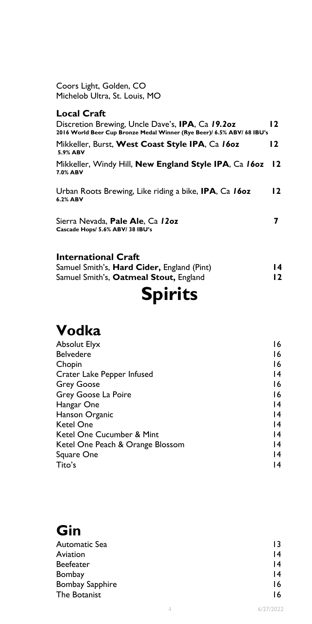Coors Light, Golden, CO Michelob Ultra, St. Louis, MO

#### **Local Craft**

| Discretion Brewing, Uncle Dave's, IPA, Ca 19.20z<br>2016 World Beer Cup Bronze Medal Winner (Rye Beer)/ 6.5% ABV/ 68 IBU's | 12        |
|----------------------------------------------------------------------------------------------------------------------------|-----------|
| Mikkeller, Burst, West Coast Style IPA, Ca 160z<br>5.9% ABV                                                                | 12        |
| Mikkeller, Windy Hill, New England Style IPA, Ca 160z<br>7.0% ABV                                                          | <b>12</b> |
| Urban Roots Brewing, Like riding a bike, <b>IPA</b> , Ca 160z<br>6.2% ABV                                                  | 12        |
| Sierra Nevada, <b>Pale Ale</b> , Ca 12oz<br>Cascade Hops/ 5.6% ABV/ 38 IBU's                                               |           |

### **International Craft**

| Samuel Smith's, Hard Cider, England (Pint) |  |
|--------------------------------------------|--|
| Samuel Smith's, Oatmeal Stout, England     |  |

## **Spirits**

## **Vodka**

| <b>Absolut Elyx</b>              | 16              |
|----------------------------------|-----------------|
| <b>Belvedere</b>                 | 16              |
| Chopin                           | 16              |
| Crater Lake Pepper Infused       | 14              |
| <b>Grey Goose</b>                | 16              |
| Grey Goose La Poire              | 16              |
| Hangar One                       | $\overline{14}$ |
| Hanson Organic                   | $\overline{14}$ |
| <b>Ketel One</b>                 | $\overline{14}$ |
| Ketel One Cucumber & Mint        | $\overline{14}$ |
| Ketel One Peach & Orange Blossom | $\overline{14}$ |
| Square One                       | $\overline{14}$ |
| Tito's                           | 14              |

## **Gin**

| Automatic Sea          | 13              |
|------------------------|-----------------|
| Aviation               | $\overline{14}$ |
| <b>Beefeater</b>       | $\overline{14}$ |
| Bombay                 | $\overline{14}$ |
| <b>Bombay Sapphire</b> | 16              |
| The Botanist           | 16              |
|                        |                 |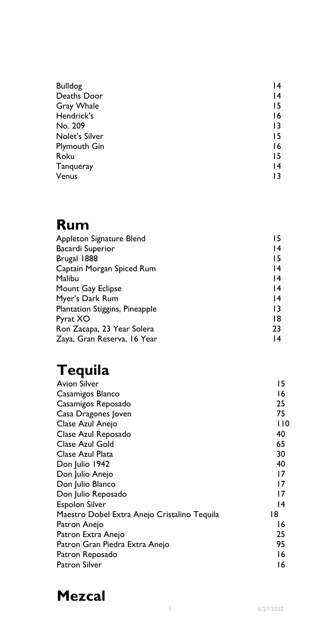| <b>Bulldog</b>      | 14              |
|---------------------|-----------------|
| Deaths Door         | 14              |
| Gray Whale          | 15              |
| Hendrick's          | 16              |
| No. 209             | 13              |
| Nolet's Silver      | 15              |
| <b>Plymouth Gin</b> | 16              |
| Roku                | 15              |
| Tanqueray           | $\overline{14}$ |
| Venus               | 13              |

## **Rum**

| Appleton Signature Blend       | 15              |
|--------------------------------|-----------------|
| <b>Bacardi Superior</b>        | 14              |
| Brugal 1888                    | 15              |
| Captain Morgan Spiced Rum      | $\overline{14}$ |
| Malibu                         | 14              |
| Mount Gay Eclipse              | 14              |
| Myer's Dark Rum                | $\overline{14}$ |
| Plantation Stiggins, Pineapple | 13              |
| Pyrat XO                       | 18              |
| Ron Zacapa, 23 Year Solera     | 23              |
| Zaya, Gran Reserva, 16 Year    | 14              |

## **Tequila**

| Avion Silver                                 | 15  |
|----------------------------------------------|-----|
| Casamigos Blanco                             | 16  |
| Casamigos Reposado                           | 25  |
| Casa Dragones Joven                          | 75  |
| Clase Azul Anejo                             | 110 |
| Clase Azul Reposado                          | 40  |
| Clase Azul Gold                              | 65  |
| Clase Azul Plata                             | 30  |
| Don Julio 1942                               | 40  |
| Don Julio Anejo                              | 17  |
| Don Julio Blanco                             | 17  |
| Don Julio Reposado                           | 17  |
| <b>Espolon Silver</b>                        | 14  |
| Maestro Dobel Extra Anejo Cristalino Tequila | 18  |
| Patron Anejo                                 | 16  |
| Patron Extra Anejo                           | 25  |
| Patron Gran Piedra Extra Anejo               | 95  |
| Patron Reposado                              | 16  |
| Patron Silver                                | 16  |

## **Mezcal**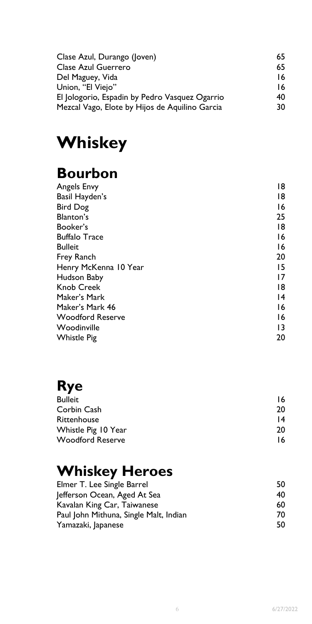| Clase Azul, Durango (Joven)                    | 65 |
|------------------------------------------------|----|
| Clase Azul Guerrero                            | 65 |
| Del Maguey, Vida                               | 16 |
| Union, "El Viejo"                              | 16 |
| El Jologorio, Espadin by Pedro Vasquez Ogarrio | 40 |
| Mezcal Vago, Elote by Hijos de Aquilino Garcia | 30 |

## **Whiskey**

## **Bourbon**

| <b>Angels Envy</b>      | 18              |
|-------------------------|-----------------|
| Basil Hayden's          | 18              |
| <b>Bird Dog</b>         | 16              |
| Blanton's               | 25              |
| Booker's                | 18              |
| <b>Buffalo Trace</b>    | 16              |
| <b>Bulleit</b>          | 16              |
| Frey Ranch              | 20              |
| Henry McKenna 10 Year   | 15              |
| Hudson Baby             | 17              |
| <b>Knob Creek</b>       | 18              |
| Maker's Mark            | 14              |
| Maker's Mark 46         | 16              |
| <b>Woodford Reserve</b> | 16              |
| Woodinville             | $\overline{13}$ |
| <b>Whistle Pig</b>      | 20              |

## **Rye**

| <b>Bulleit</b>          | 16 |
|-------------------------|----|
| Corbin Cash             | 20 |
| Rittenhouse             | 14 |
| Whistle Pig 10 Year     | 20 |
| <b>Woodford Reserve</b> | 16 |

## **Whiskey Heroes**

| Elmer T. Lee Single Barrel             | 50 |
|----------------------------------------|----|
| Jefferson Ocean, Aged At Sea           | 40 |
| Kavalan King Car, Taiwanese            | 60 |
| Paul John Mithuna, Single Malt, Indian | 70 |
| Yamazaki, Japanese                     | 50 |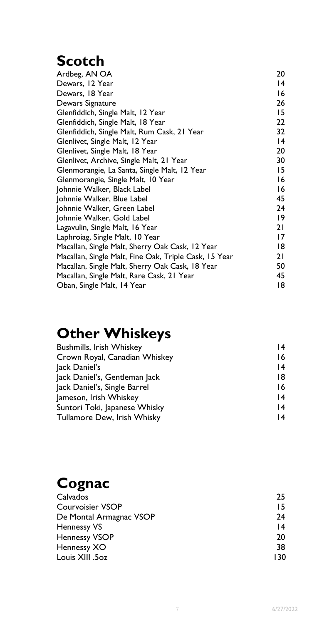## **Scotch**

| Ardbeg, AN OA                                         | 20          |
|-------------------------------------------------------|-------------|
| Dewars, 12 Year                                       | 14          |
| Dewars, 18 Year                                       | 16          |
| Dewars Signature                                      | 26          |
| Glenfiddich, Single Malt, 12 Year                     | 15          |
| Glenfiddich, Single Malt, 18 Year                     | 22          |
| Glenfiddich, Single Malt, Rum Cask, 21 Year           | 32          |
| Glenlivet, Single Malt, 12 Year                       | 14          |
| Glenlivet, Single Malt, 18 Year                       | 20          |
| Glenlivet, Archive, Single Malt, 21 Year              | 30          |
| Glenmorangie, La Santa, Single Malt, 12 Year          | 15          |
| Glenmorangie, Single Malt, 10 Year                    | 16          |
| Johnnie Walker, Black Label                           | 16          |
| Johnnie Walker, Blue Label                            | 45          |
| Johnnie Walker, Green Label                           | 24          |
| Johnnie Walker, Gold Label                            | $ 9\rangle$ |
| Lagavulin, Single Malt, 16 Year                       | 21          |
| Laphroiag, Single Malt, 10 Year                       | 17          |
| Macallan, Single Malt, Sherry Oak Cask, 12 Year       | 18          |
| Macallan, Single Malt, Fine Oak, Triple Cask, 15 Year | 21          |
| Macallan, Single Malt, Sherry Oak Cask, 18 Year       | 50          |
| Macallan, Single Malt, Rare Cask, 21 Year             | 45          |
| Oban, Single Malt, 14 Year                            | 18          |
|                                                       |             |

## **Other Whiskeys**

| <b>Bushmills, Irish Whiskey</b> | 14 |
|---------------------------------|----|
| Crown Royal, Canadian Whiskey   | 16 |
| Jack Daniel's                   | 14 |
| Jack Daniel's, Gentleman Jack   | 18 |
| Jack Daniel's, Single Barrel    | 16 |
| Jameson, Irish Whiskey          | 14 |
| Suntori Toki, Japanese Whisky   | 14 |
| Tullamore Dew, Irish Whisky     | 14 |

## **Cognac**

| Calvados                | 25  |
|-------------------------|-----|
| <b>Courvoisier VSOP</b> | 15  |
| De Montal Armagnac VSOP | 24  |
| <b>Hennessy VS</b>      | 14  |
| <b>Hennessy VSOP</b>    | 20  |
| Hennessy XO             | 38  |
| Louis XIII .50z         | 130 |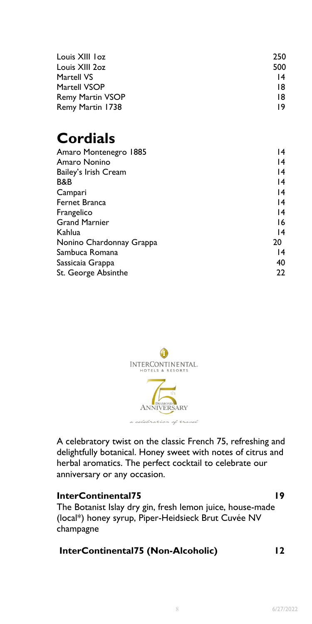| Louis XIII loz          | 250             |
|-------------------------|-----------------|
| Louis XIII 20z          | 500             |
| Martell VS              | $\overline{14}$ |
| Martell VSOP            | 18              |
| <b>Remy Martin VSOP</b> | 18              |
| Remy Martin 1738        | 19              |

## **Cordials**

| Amaro Montenegro 1885    | 14              |
|--------------------------|-----------------|
| Amaro Nonino             | 14              |
| Bailey's Irish Cream     | $\overline{14}$ |
| B&B                      | $\overline{14}$ |
| Campari                  | $\overline{14}$ |
| Fernet Branca            | 14              |
| Frangelico               | 14              |
| <b>Grand Marnier</b>     | 16              |
| Kahlua                   | 14              |
| Nonino Chardonnay Grappa | 20              |
| Sambuca Romana           | 14              |
| Sassicaia Grappa         | 40              |
| St. George Absinthe      | 22              |



 delightfully botanical. Honey sweet with notes of citrus and A celebratory twist on the classic French 75, refreshing and herbal aromatics. The perfect cocktail to celebrate our anniversary or any occasion.

#### **InterContinental75** 19

The Botanist Islay dry gin, fresh lemon juice, house-made (local\*) honey syrup, Piper-Heidsieck Brut Cuvée NV champagne

#### **InterContinental75 (Non-Alcoholic) 12**